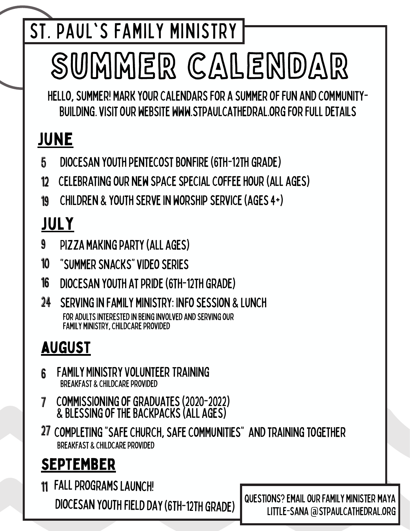st. paul's family ministry

# summer calendar

hello,summer! markyourcalendarsfor a summeroffun andcommunity-BUILDING. VISIT OUR WEBSITE WWW.STPAULCATHEDRAL.ORG FOR FULL DETAILS

## june

- 5 DIOCESAN YOUTH PENTECOST BONFIRE (6TH-12TH GRADE)
- 12 celebratingour new spacespecialcoffeehour(all ages)
- 19 children & youthservein worshipservice(ages4+)

## july

- 9 PIZZA MAKING PARTY (ALL AGES)
- 10 "summersnacks"videoseries
- 16 DIOCESAN YOUTH AT PRIDE (6TH-12TH GRADE)
- $24$ servingin family ministry: infosession & lunch FOR ADULTS INTERESTED IN BEING INVOLVED AND SERVING OUR FAMILY MINISTRY, CHILDCARE PROVIDED

#### august

- 6 FAMILY MINISTRY VOLUNTEER TRAINING BREAKFAST & CHILDCARE PROVIDED
- 7 commissioningofgraduates(2020-2022) & blessingofthebackpacks(all ages)
- 27 completing"safechurch,safecommunities" andtrainingtogether BREAKFAST & CHILDCARE PROVIDED

## september

11 FALL PROGRAMS LAUNCH! DIOCESAN YOUTH FIELD DAY (6TH-12TH GRADE)

questions?emailourfamily minister maya LITTLE-SANA @STPAULCATHEDRAL.ORG